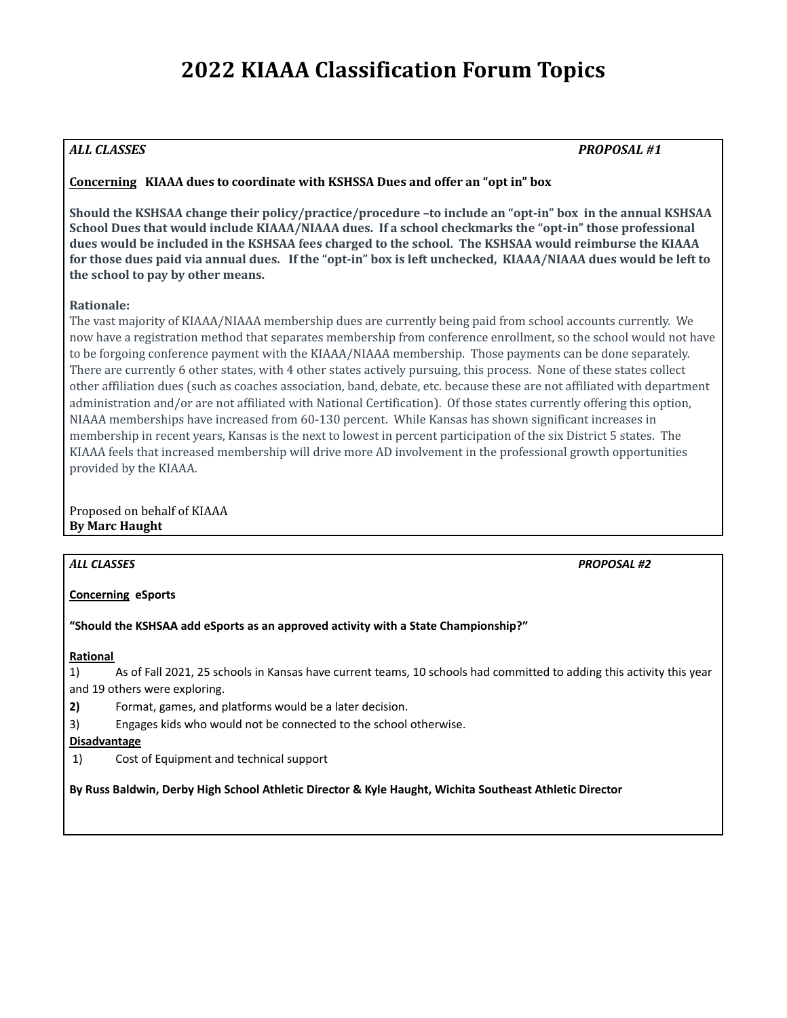# **2022 KIAAA Classification Forum Topics**

# *ALL CLASSES PROPOSAL #1*

# **Concerning KIAAA dues to coordinate with KSHSSA Dues and offer an "opt in" box**

**Should the KSHSAA change their policy/practice/procedure –to include an "opt-in" box in the annual KSHSAA School Dues that would include KIAAA/NIAAA dues. If a school checkmarks the "opt-in" those professional** dues would be included in the KSHSAA fees charged to the school. The KSHSAA would reimburse the KIAAA for those dues paid via annual dues. If the "opt-in" box is left unchecked, KIAAA/NIAAA dues would be left to **the school to pay by other means.**

# **Rationale:**

The vast majority of KIAAA/NIAAA membership dues are currently being paid from school accounts currently. We now have a registration method that separates membership from conference enrollment, so the school would not have to be forgoing conference payment with the KIAAA/NIAAA membership. Those payments can be done separately. There are currently 6 other states, with 4 other states actively pursuing, this process. None of these states collect other affiliation dues (such as coaches association, band, debate, etc. because these are not affiliated with department administration and/or are not affiliated with National Certification). Of those states currently offering this option, NIAAA memberships have increased from 60-130 percent. While Kansas has shown significant increases in membership in recent years, Kansas is the next to lowest in percent participation of the six District 5 states. The KIAAA feels that increased membership will drive more AD involvement in the professional growth opportunities provided by the KIAAA.

Proposed on behalf of KIAAA **By Marc Haught**

*ALL CLASSES PROPOSAL #2*

**Concerning eSports**

**"Should the KSHSAA add eSports as an approved activity with a State Championship?"**

# **Rational**

1) As of Fall 2021, 25 schools in Kansas have current teams, 10 schools had committed to adding this activity this year and 19 others were exploring.

**2)** Format, games, and platforms would be a later decision.

3) Engages kids who would not be connected to the school otherwise.

# **Disadvantage**

1) Cost of Equipment and technical support

**By Russ Baldwin, Derby High School Athletic Director & Kyle Haught, Wichita Southeast Athletic Director**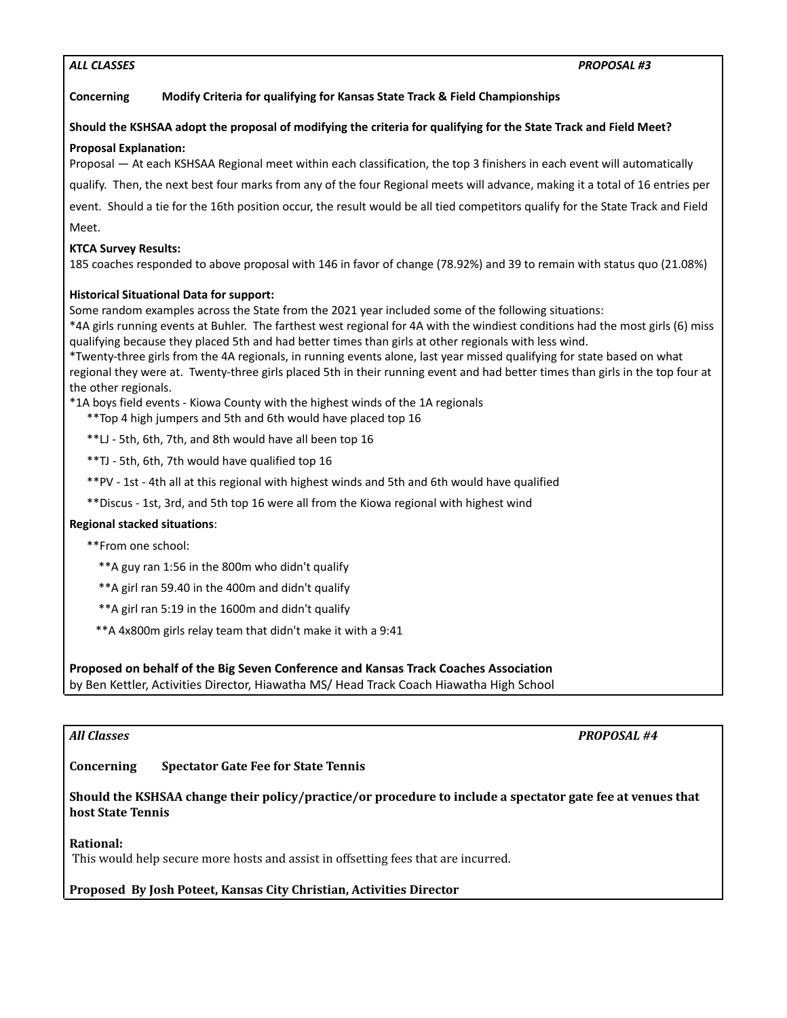# *ALL CLASSES PROPOSAL #3*

# **Concerning Modify Criteria for qualifying for Kansas State Track & Field Championships**

# Should the KSHSAA adopt the proposal of modifying the criteria for qualifying for the State Track and Field Meet?

# **Proposal Explanation:**

Proposal — At each KSHSAA Regional meet within each classification, the top 3 finishers in each event will automatically

qualify. Then, the next best four marks from any of the four Regional meets will advance, making it a total of 16 entries per

event. Should a tie for the 16th position occur, the result would be all tied competitors qualify for the State Track and Field Meet.

# **KTCA Survey Results:**

185 coaches responded to above proposal with 146 in favor of change (78.92%) and 39 to remain with status quo (21.08%)

# **Historical Situational Data for support:**

Some random examples across the State from the 2021 year included some of the following situations:

\*4A girls running events at Buhler. The farthest west regional for 4A with the windiest conditions had the most girls (6) miss qualifying because they placed 5th and had better times than girls at other regionals with less wind.

\*Twenty-three girls from the 4A regionals, in running events alone, last year missed qualifying for state based on what regional they were at. Twenty-three girls placed 5th in their running event and had better times than girls in the top four at the other regionals.

\*1A boys field events - Kiowa County with the highest winds of the 1A regionals

- \*\*Top 4 high jumpers and 5th and 6th would have placed top 16
- \*\*LJ 5th, 6th, 7th, and 8th would have all been top 16
- \*\*TJ 5th, 6th, 7th would have qualified top 16
- \*\*PV 1st 4th all at this regional with highest winds and 5th and 6th would have qualified
- \*\*Discus 1st, 3rd, and 5th top 16 were all from the Kiowa regional with highest wind

# **Regional stacked situations**:

\*\*From one school:

- \*\*A guy ran 1:56 in the 800m who didn't qualify
- \*\*A girl ran 59.40 in the 400m and didn't qualify
- \*\*A girl ran 5:19 in the 1600m and didn't qualify
- \*\*A 4x800m girls relay team that didn't make it with a 9:41

# **Proposed on behalf of the Big Seven Conference and Kansas Track Coaches Association**

by Ben Kettler, Activities Director, Hiawatha MS/ Head Track Coach Hiawatha High School

*All Classes PROPOSAL #4*

# **Concerning Spectator Gate Fee for State Tennis**

# **Should the KSHSAA change their policy/practice/or procedure to include a spectator gate fee at venues that host State Tennis**

# **Rational:**

This would help secure more hosts and assist in offsetting fees that are incurred.

# **Proposed By Josh Poteet, Kansas City Christian, Activities Director**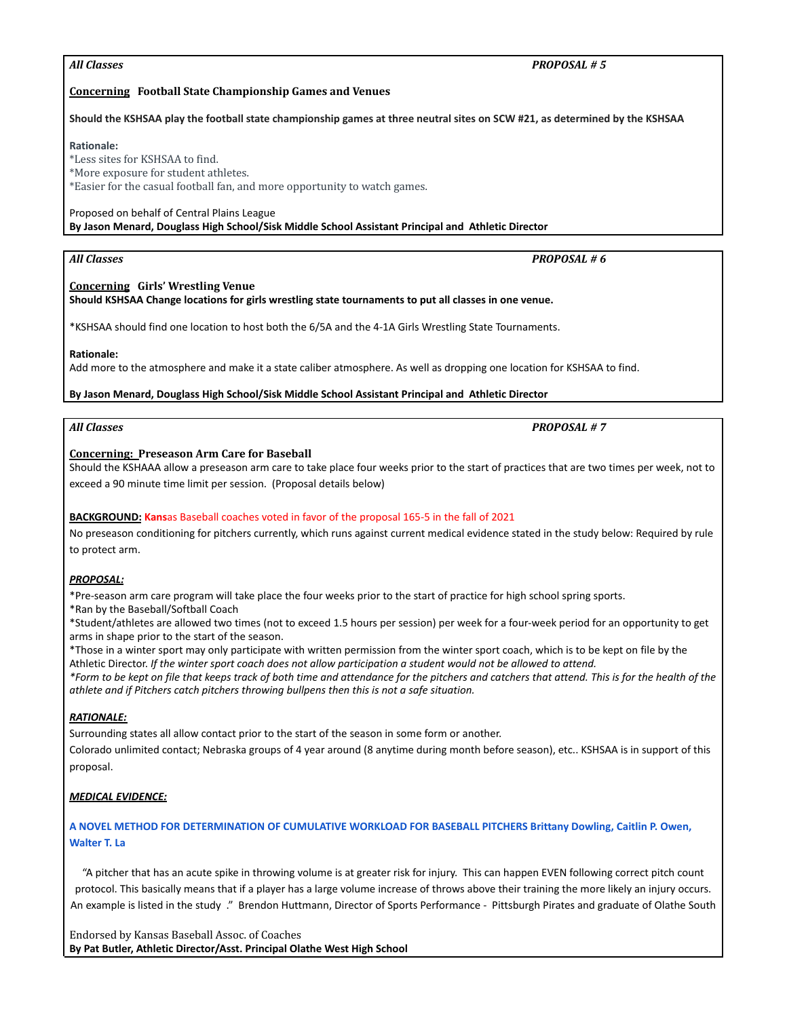| Should the KSHSAA play the football state championship games at three neutral sites on SCW #21, as determined by the KSHSAA                       |
|---------------------------------------------------------------------------------------------------------------------------------------------------|
| <b>Rationale:</b>                                                                                                                                 |
| *Less sites for KSHSAA to find.                                                                                                                   |
| *More exposure for student athletes.                                                                                                              |
| *Easier for the casual football fan, and more opportunity to watch games.                                                                         |
| Proposed on behalf of Central Plains League<br>By Jason Menard, Douglass High School/Sisk Middle School Assistant Principal and Athletic Director |
|                                                                                                                                                   |

# *All Classes PROPOSAL # 6*

**Concerning Girls' Wrestling Venue Should KSHSAA Change locations for girls wrestling state tournaments to put all classes in one venue.**

\*KSHSAA should find one location to host both the 6/5A and the 4-1A Girls Wrestling State Tournaments.

# **Rationale:**

Add more to the atmosphere and make it a state caliber atmosphere. As well as dropping one location for KSHSAA to find.

#### **By Jason Menard, Douglass High School/Sisk Middle School Assistant Principal and Athletic Director**

#### **Concerning: Preseason Arm Care for Baseball** Should the KSHAAA allow a preseason arm care to take place four weeks prior to the start of practices that are two times per week, not to

exceed a 90 minute time limit per session. (Proposal details below)

**Concerning Football State Championship Games and Venues**

# **BACKGROUND: Kans**as Baseball coaches voted in favor of the proposal 165-5 in the fall of 2021

No preseason conditioning for pitchers currently, which runs against current medical evidence stated in the study below: Required by rule to protect arm.

# *PROPOSAL:*

\*Pre-season arm care program will take place the four weeks prior to the start of practice for high school spring sports.

\*Ran by the Baseball/Softball Coach

\*Student/athletes are allowed two times (not to exceed 1.5 hours per session) per week for a four-week period for an opportunity to get arms in shape prior to the start of the season.

\*Those in a winter sport may only participate with written permission from the winter sport coach, which is to be kept on file by the Athletic Director. *If the winter sport coach does not allow participation a student would not be allowed to attend.*

*\*Form to be kept on file that keeps track of both time and attendance for the pitchers and catchers that attend. This is for the health of the athlete and if Pitchers catch pitchers throwing bullpens then this is not a safe situation.*

# *RATIONALE:*

Surrounding states all allow contact prior to the start of the season in some form or another.

Colorado unlimited contact; Nebraska groups of 4 year around (8 anytime during month before season), etc.. KSHSAA is in support of this proposal.

# *MEDICAL EVIDENCE:*

# **[A NOVEL METHOD FOR DETERMINATION OF CUMULATIVE WORKLOAD FOR BASEBALL PITCHERS Brittany Dowling, Caitlin P. Owen,](https://irp-cdn.multiscreensite.com/b515ca31/files/uploaded/Pilot-AC-workload.pdf) [Walter T. La](https://irp-cdn.multiscreensite.com/b515ca31/files/uploaded/Pilot-AC-workload.pdf)**

"A pitcher that has an acute spike in throwing volume is at greater risk for injury. This can happen EVEN following correct pitch count protocol. This basically means that if a player has a large volume increase of throws above their training the more likely an injury occurs. An example is listed in the study ." Brendon Huttmann, Director of Sports Performance - Pittsburgh Pirates and graduate of Olathe South

*All Classes PROPOSAL # 5*

*All Classes PROPOSAL # 7*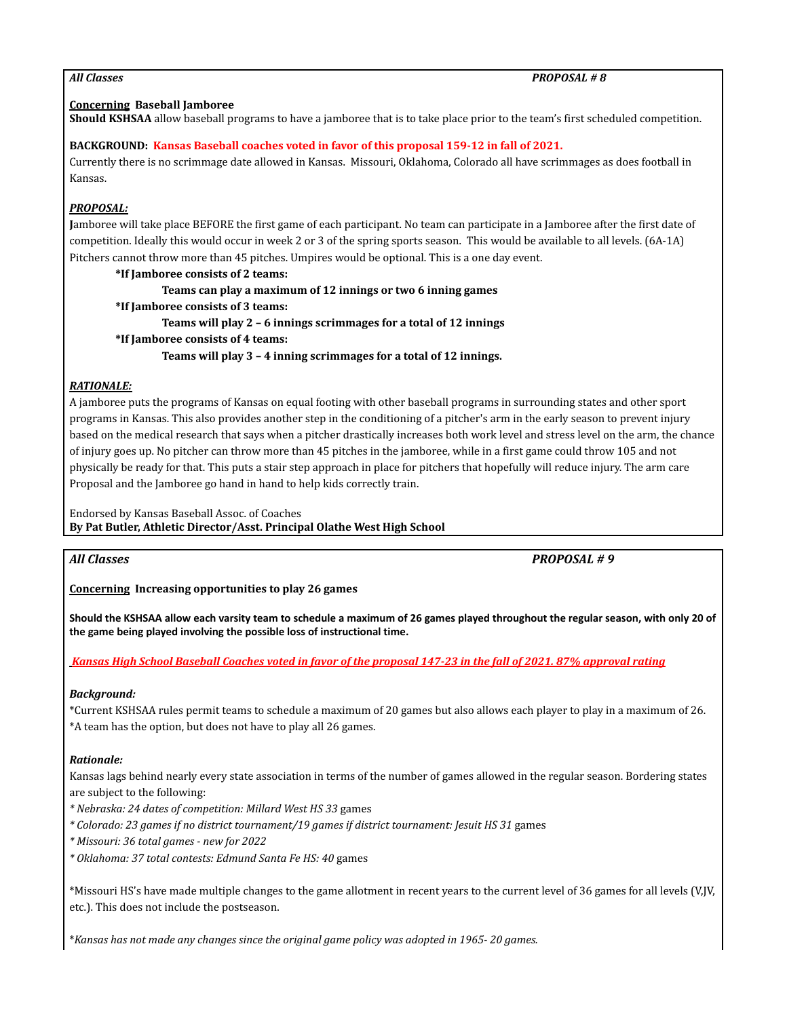# **Concerning Baseball Jamboree**

**Should KSHSAA** allow baseball programs to have a jamboree that is to take place prior to the team's first scheduled competition.

# **BACKGROUND: Kansas Baseball coaches voted in favor of this proposal 159-12 in fall of 2021.**

Currently there is no scrimmage date allowed in Kansas. Missouri, Oklahoma, Colorado all have scrimmages as does football in Kansas.

# *PROPOSAL:*

**J**amboree will take place BEFORE the first game of each participant. No team can participate in a Jamboree after the first date of competition. Ideally this would occur in week 2 or 3 of the spring sports season. This would be available to all levels. (6A-1A) Pitchers cannot throw more than 45 pitches. Umpires would be optional. This is a one day event.

**\*If Jamboree consists of 2 teams: Teams can play a maximum of 12 innings or two 6 inning games \*If Jamboree consists of 3 teams: Teams will play 2 – 6 innings scrimmages for a total of 12 innings \*If Jamboree consists of 4 teams: Teams will play 3 – 4 inning scrimmages for a total of 12 innings.**

# *RATIONALE:*

A jamboree puts the programs of Kansas on equal footing with other baseball programs in surrounding states and other sport programs in Kansas. This also provides another step in the conditioning of a pitcher's arm in the early season to prevent injury based on the medical research that says when a pitcher drastically increases both work level and stress level on the arm, the chance of injury goes up. No pitcher can throw more than 45 pitches in the jamboree, while in a first game could throw 105 and not physically be ready for that. This puts a stair step approach in place for pitchers that hopefully will reduce injury. The arm care Proposal and the Jamboree go hand in hand to help kids correctly train.

Endorsed by Kansas Baseball Assoc. of Coaches

**By Pat Butler, Athletic Director/Asst. Principal Olathe West High School**

*All Classes PROPOSAL # 9*

**Concerning Increasing opportunities to play 26 games**

**Should the KSHSAA allow each varsity team to schedule a maximum of 26 games played throughout the regular season, with only 20 of the game being played involving the possible loss of instructional time.**

*Kansas High School Baseball Coaches voted in favor of the proposal 147-23 in the fall of 2021. 87% approval rating*

# *Background:*

\*Current KSHSAA rules permit teams to schedule a maximum of 20 games but also allows each player to play in a maximum of 26. \*A team has the option, but does not have to play all 26 games.

# *Rationale:*

Kansas lags behind nearly every state association in terms of the number of games allowed in the regular season. Bordering states are subject to the following:

- *\* Nebraska: 24 dates of competition: Millard West HS 33* games
- *\* Colorado: 23 games if no district tournament/19 games if district tournament: Jesuit HS 31* games

*\* Missouri: 36 total games - new for 2022*

*\* Oklahoma: 37 total contests: Edmund Santa Fe HS: 40* games

\*Missouri HS's have made multiple changes to the game allotment in recent years to the current level of 36 games for all levels (V,JV, etc.). This does not include the postseason.

\**Kansas has not made any changes since the original game policy was adopted in 1965- 20 games.*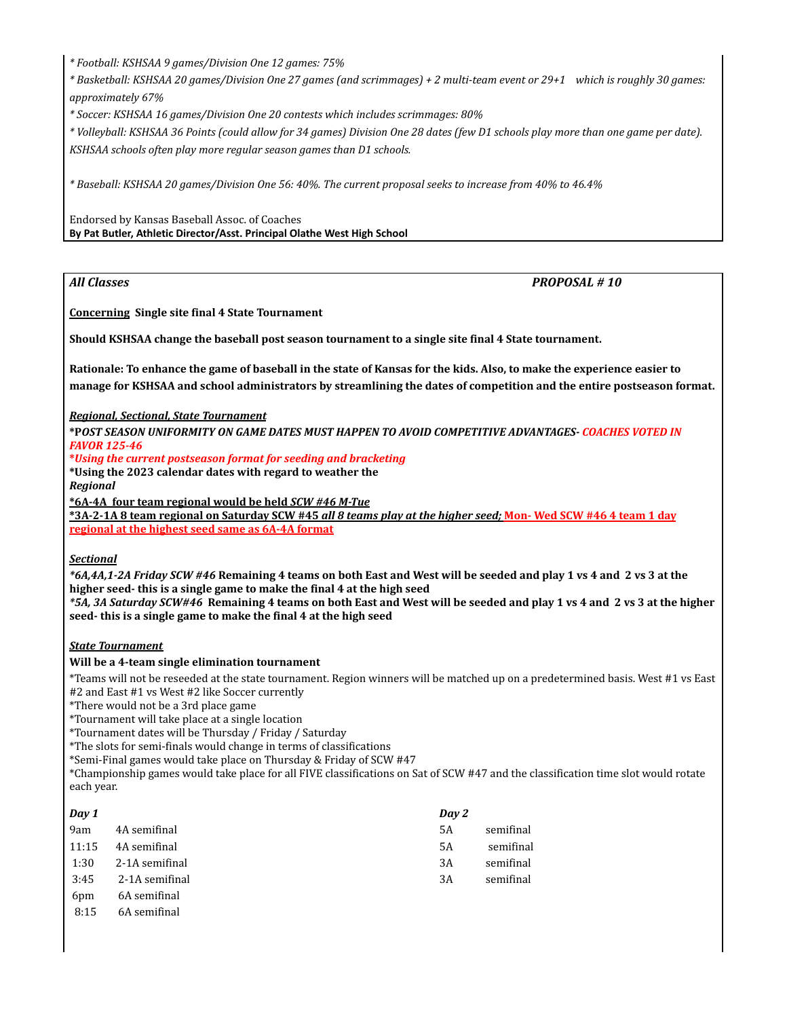*\* Football: KSHSAA 9 games/Division One 12 games: 75%*

*\* Basketball: KSHSAA 20 games/Division One 27 games (and scrimmages) + 2 multi-team event or 29+1 which is roughly 30 games: approximately 67%*

*\* Soccer: KSHSAA 16 games/Division One 20 contests which includes scrimmages: 80%*

*\* Volleyball: KSHSAA 36 Points (could allow for 34 games) Division One 28 dates (few D1 schools play more than one game per date). KSHSAA schools often play more regular season games than D1 schools.*

*\* Baseball: KSHSAA 20 games/Division One 56: 40%. The current proposal seeks to increase from 40% to 46.4%*

Endorsed by Kansas Baseball Assoc. of Coaches **By Pat Butler, Athletic Director/Asst. Principal Olathe West High School**

*All Classes PROPOSAL # 10*

**Concerning Single site final 4 State Tournament**

**Should KSHSAA change the baseball post season tournament to a single site final 4 State tournament.**

**Rationale: To enhance the game of baseball in the state of Kansas for the kids. Also, to make the experience easier to manage for KSHSAA and school administrators by streamlining the dates of competition and the entire postseason format.**

# *Regional, Sectional, State Tournament*

**\*P***OST SEASON UNIFORMITY ON GAME DATES MUST HAPPEN TO AVOID COMPETITIVE ADVANTAGES- COACHES VOTED IN FAVOR 125-46*

#### **\****Using the current postseason format for seeding and bracketing*

**\*Using the 2023 calendar dates with regard to weather the** *Regional*

**\*6A-4A four team regional would be held** *SCW #46 M-Tue*

**\*3A-2-1A 8 team regional on Saturday SCW #45** *all 8 teams play at the higher seed;* **Mon- Wed SCW #46 4 team 1 day regional at the highest seed same as 6A-4A format**

# *Sectional*

*\*6A,4A,1-2A Friday SCW #46* **Remaining 4 teams on both East and West will be seeded and play 1 vs 4 and 2 vs 3 at the higher seed- this is a single game to make the final 4 at the high seed**

*\*5A, 3A Saturday SCW#46* **Remaining 4 teams on both East and West will be seeded and play 1 vs 4 and 2 vs 3 at the higher seed- this is a single game to make the final 4 at the high seed**

# *State Tournament*

# **Will be a 4-team single elimination tournament**

\*Teams will not be reseeded at the state tournament. Region winners will be matched up on a predetermined basis. West #1 vs East #2 and East #1 vs West #2 like Soccer currently

\*There would not be a 3rd place game

\*Tournament will take place at a single location

\*Tournament dates will be Thursday / Friday / Saturday

\*The slots for semi-finals would change in terms of classifications

\*Semi-Final games would take place on Thursday & Friday of SCW #47

\*Championship games would take place for all FIVE classifications on Sat of SCW #47 and the classification time slot would rotate each year.

| Day 1           |                | Day 2     |           |
|-----------------|----------------|-----------|-----------|
| 9am             | 4A semifinal   | <b>5A</b> | semifinal |
| 11:15           | 4A semifinal   | 5A        | semifinal |
| 1:30            | 2-1A semifinal | 3A        | semifinal |
| 3:45            | 2-1A semifinal | 3A        | semifinal |
| 6 <sub>pm</sub> | 6A semifinal   |           |           |
| 8:15            | 6A semifinal   |           |           |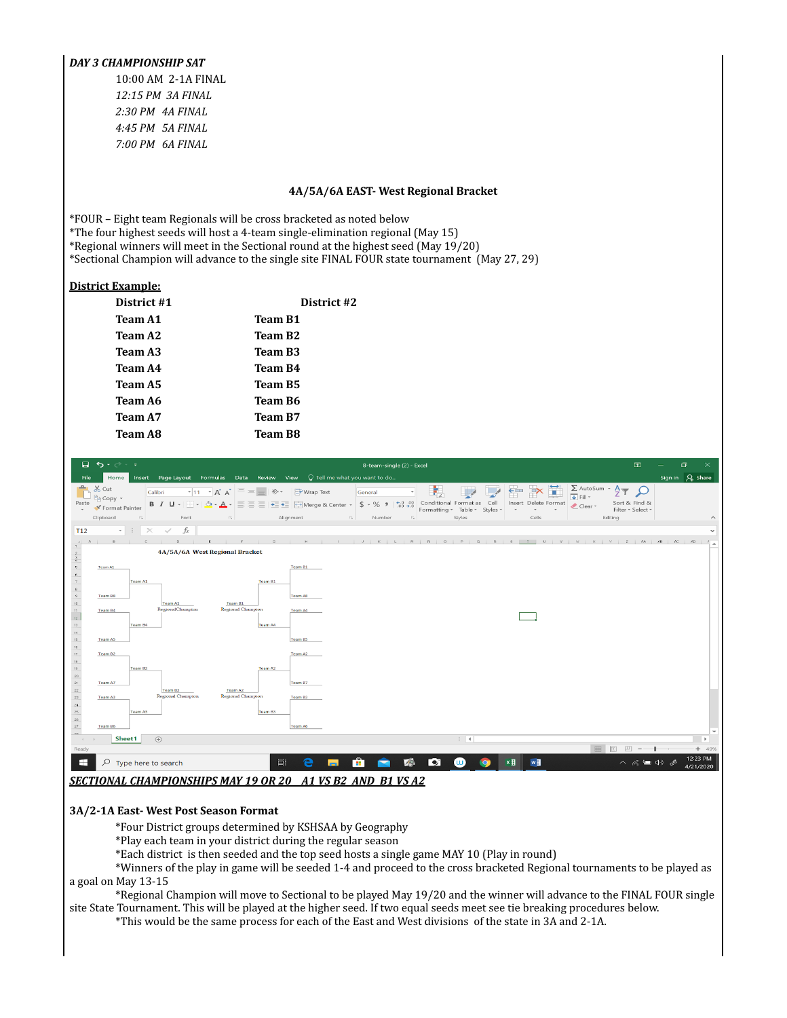# *DAY 3 CHAMPIONSHIP SAT*

10:00 AM 2-1A FINAL *12:15 PM 3A FINAL 2:30 PM 4A FINAL 4:45 PM 5A FINAL 7:00 PM 6A FINAL*

#### **4A/5A/6A EAST- West Regional Bracket**

\*FOUR – Eight team Regionals will be cross bracketed as noted below

\*The four highest seeds will host a 4-team single-elimination regional (May 15)

\*Regional winners will meet in the Sectional round at the highest seed (May 19/20)

\*Sectional Champion will advance to the single site FINAL FOUR state tournament (May 27, 29)

# **District Example:**

| District #1    | District #2         |
|----------------|---------------------|
| Team A1        | Team B1             |
| Team A2        | Team B2             |
| Team A3        | Team B <sub>3</sub> |
| Team A4        | Team B4             |
| Team A5        | Team B5             |
| Team A6        | Team B6             |
| Team A7        | Team B7             |
| <b>Team A8</b> | Team B8             |



#### **3A/2-1A East- West Post Season Format**

\*Four District groups determined by KSHSAA by Geography

\*Play each team in your district during the regular season

\*Each district is then seeded and the top seed hosts a single game MAY 10 (Play in round)

\*Winners of the play in game will be seeded 1-4 and proceed to the cross bracketed Regional tournaments to be played as a goal on May 13-15

\*Regional Champion will move to Sectional to be played May 19/20 and the winner will advance to the FINAL FOUR single site State Tournament. This will be played at the higher seed. If two equal seeds meet see tie breaking procedures below.

\*This would be the same process for each of the East and West divisions of the state in 3A and 2-1A.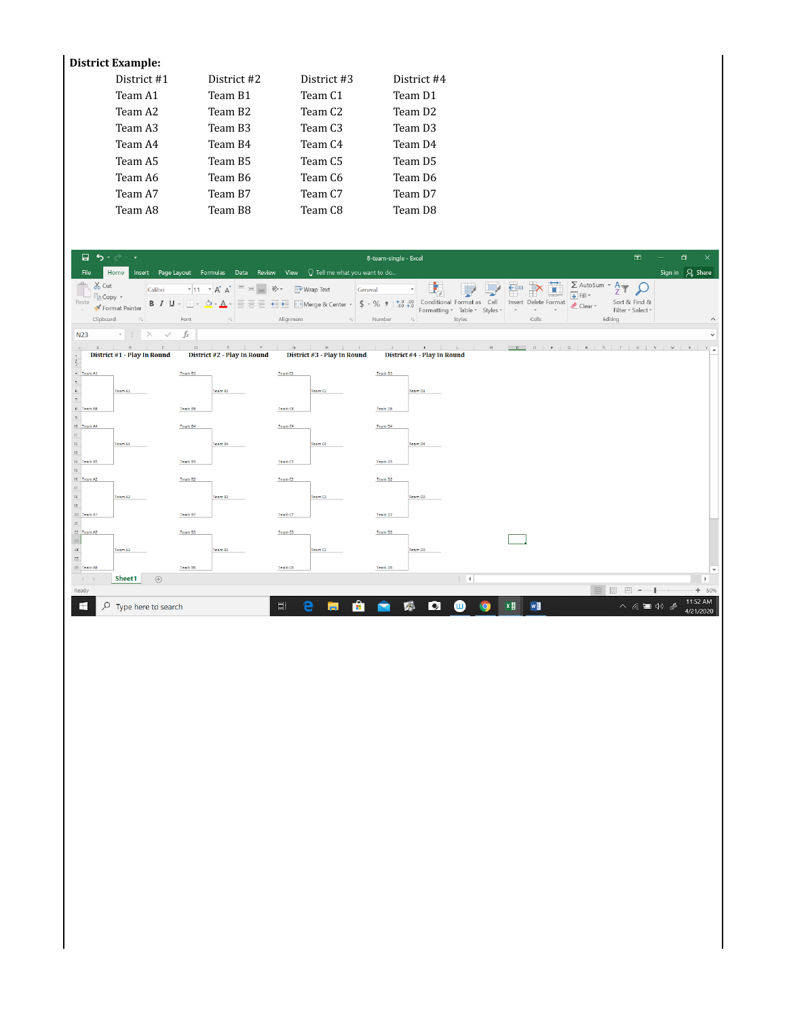# **District Example:**

| District #1 | District #2 | District #3         | District #4         |
|-------------|-------------|---------------------|---------------------|
| Team A1     | Team B1     | Team C <sub>1</sub> | Team D1             |
| Team A2     | Team B2     | Team C2             | Team D <sub>2</sub> |
| Team A3     | Team B3     | Team C3             | Team D3             |
| Team A4     | Team B4     | Team C4             | Team D4             |
| Team A5     | Team B5     | Team C <sub>5</sub> | Team D5             |
| Team A6     | Team B6     | Team C6             | Team D6             |
| Team A7     | Team B7     | Team C7             | Team D7             |
| Team A8     | Team B8     | Team C8             | Team D8             |

| 日う・・・                                                                                     |                                             |                              |                                                                                                                                                                                                                                                                                                                                                                                                                                                                                |                           |                     |   |                             |         | 8-team-single - Excel |                                               |                               |                             |             |                                               |                     |                                             |         | 囨                                  | ο                     | $\overline{\mathsf{x}}$ |
|-------------------------------------------------------------------------------------------|---------------------------------------------|------------------------------|--------------------------------------------------------------------------------------------------------------------------------------------------------------------------------------------------------------------------------------------------------------------------------------------------------------------------------------------------------------------------------------------------------------------------------------------------------------------------------|---------------------------|---------------------|---|-----------------------------|---------|-----------------------|-----------------------------------------------|-------------------------------|-----------------------------|-------------|-----------------------------------------------|---------------------|---------------------------------------------|---------|------------------------------------|-----------------------|-------------------------|
| File                                                                                      | Home                                        |                              | Insert Page Layout Formulas Data Review View $\bigcirc$ Tell me what you want to do                                                                                                                                                                                                                                                                                                                                                                                            |                           |                     |   |                             |         |                       |                                               |                               |                             |             |                                               |                     |                                             |         |                                    | Sign in Q Share       |                         |
| $\chi$ Cut<br><b>En Copy</b> *<br>Paste<br>$\sim$<br>Clipboard                            | Format Painter<br>$\overline{\mathbb{F}_2}$ | Calibri                      | $\overline{\cdot}$ 11 $\overline{\cdot}$ $\overline{A}$ $\overline{A}$ $\overline{=}$ $\equiv$ $\Rightarrow$ $\overline{\cdot}$ $\Rightarrow$ $\overline{\cdot}$ Wrap Text<br><b>B</b> $I \cup \cdots \cup \cdots \cup \cdots \cup \cdots$ $\wedge$ $\vdots \equiv \equiv \equiv \equiv \equiv \equiv \equiv \text{where } \& \text{ Center } \cdot \Rightarrow \& \rightarrow \& \text{ } \rightarrow \& \text{ } \circ \& \text{ } \circ \circ \circ \circ \text{ }$<br>Font | $\overline{\mathbb{F}_2}$ | Alignment           |   | and the control of the      | General | Number                | $\star$<br>$\overline{\mathbb{F}_\mathbf{x}}$ | Formatting * Table * Styles * | Styles                      | ŧ<br>$\sim$ | FË<br>Insert Delete Format<br>$\tau$<br>Cells | $\scriptstyle\rm v$ | $\Sigma$ AutoSum - AT $\bigcirc$<br>Clear * | Editina | Sort & Find &<br>Filter * Select * |                       |                         |
|                                                                                           |                                             |                              |                                                                                                                                                                                                                                                                                                                                                                                                                                                                                |                           |                     |   |                             |         |                       |                                               |                               |                             |             |                                               |                     |                                             |         |                                    |                       |                         |
| <b>N23</b>                                                                                | $\cdot$ : $\times$ $\checkmark$ fx          |                              |                                                                                                                                                                                                                                                                                                                                                                                                                                                                                |                           |                     |   |                             |         |                       |                                               |                               |                             |             |                                               |                     |                                             |         |                                    |                       |                         |
|                                                                                           | District #1 - Play In Round                 |                              | 8   C   D   E   F   G   H   I   J   K   L   M   N   O   P   Q   R   S   T   U   V   X   Y  <br>District #2 - Play In Round                                                                                                                                                                                                                                                                                                                                                     |                           |                     |   | District #3 - Play In Round |         |                       |                                               | District #4 - Play In Round   |                             |             |                                               |                     |                                             |         |                                    |                       |                         |
| $\frac{1}{2}$                                                                             |                                             |                              |                                                                                                                                                                                                                                                                                                                                                                                                                                                                                |                           |                     |   |                             |         |                       |                                               |                               |                             |             |                                               |                     |                                             |         |                                    |                       |                         |
| $4$ Team A1<br>$\overline{\phantom{a}}$<br>$_{\rm 6}$                                     | Team A1                                     |                              | Team B1                                                                                                                                                                                                                                                                                                                                                                                                                                                                        | Team B1                   | Team C1             |   | Team C1                     |         | Team D1               |                                               | Team D1                       |                             |             |                                               |                     |                                             |         |                                    |                       |                         |
| $\tau$<br>8 Team A8<br>$\overline{9}$                                                     |                                             |                              | Team B8                                                                                                                                                                                                                                                                                                                                                                                                                                                                        |                           | Team C8             |   |                             |         | Team D8               |                                               |                               |                             |             |                                               |                     |                                             |         |                                    |                       |                         |
| 10 Team A4<br>$\begin{array}{c} 11 \\ 12 \end{array}$<br>$13\,$                           | Team A4                                     |                              | Team B4                                                                                                                                                                                                                                                                                                                                                                                                                                                                        | Team B4                   | Team C4             |   | Team C4                     |         | Team D4               |                                               | Team D4                       |                             |             |                                               |                     |                                             |         |                                    |                       |                         |
| 14 Team AS<br>$1\%$                                                                       |                                             |                              | Team B5                                                                                                                                                                                                                                                                                                                                                                                                                                                                        |                           | <b>Team CS</b>      |   |                             |         | <b>Team DS</b>        |                                               |                               |                             |             |                                               |                     |                                             |         |                                    |                       |                         |
| 16 Team A2<br>$\ensuremath{\mathsf{T}}\xspace$<br>$\begin{array}{c} 13 \\ 13 \end{array}$ | Team A2                                     |                              | Team B2                                                                                                                                                                                                                                                                                                                                                                                                                                                                        | Team B2                   | Team C <sub>2</sub> |   | Team C <sub>2</sub>         |         | Team D <sub>2</sub>   |                                               | Team D <sub>2</sub>           |                             |             |                                               |                     |                                             |         |                                    |                       |                         |
| 20 Team A7<br>$\mathbf{21}$                                                               |                                             |                              | Team B7                                                                                                                                                                                                                                                                                                                                                                                                                                                                        |                           | Team C7             |   |                             |         | Team D7               |                                               |                               |                             |             |                                               |                     |                                             |         |                                    |                       |                         |
| 22 Team A3<br>$^{23}$                                                                     |                                             |                              | Team B3                                                                                                                                                                                                                                                                                                                                                                                                                                                                        |                           | Team C3             |   |                             |         | Team D3               |                                               |                               |                             |             |                                               |                     |                                             |         |                                    |                       |                         |
| $\overline{\mathfrak{A}}$<br>$\mathcal{Z}5$<br>26 Team A6                                 | Team A3                                     |                              | Team B6                                                                                                                                                                                                                                                                                                                                                                                                                                                                        | Team B3                   | Team C6             |   | Team C3                     |         | Team D6               |                                               | Team D3                       |                             |             |                                               |                     |                                             |         |                                    |                       | $\mathbf{v}$            |
| $\left\{ \begin{array}{ccc} 1 & 0 \\ 0 & 0 \end{array} \right\}$                          | Sheet1                                      | $\left( \overline{+}\right)$ |                                                                                                                                                                                                                                                                                                                                                                                                                                                                                |                           |                     |   |                             |         |                       |                                               |                               | $\frac{1}{2}$ $\frac{1}{2}$ |             |                                               |                     |                                             |         |                                    | $\rightarrow$         |                         |
| Ready                                                                                     |                                             |                              |                                                                                                                                                                                                                                                                                                                                                                                                                                                                                |                           |                     |   |                             |         |                       |                                               |                               |                             |             |                                               |                     |                                             |         | 吅                                  |                       | $+ 50%$                 |
| H<br>Q                                                                                    | Type here to search                         |                              |                                                                                                                                                                                                                                                                                                                                                                                                                                                                                |                           | <b>Ei</b>           | e |                             | ÷       |                       | $\sqrt{q}$                                    | To t                          | ω                           | <b>x</b>    | w∃                                            |                     |                                             |         | 入后暂期。                              | 11:52 AM<br>4/21/2020 |                         |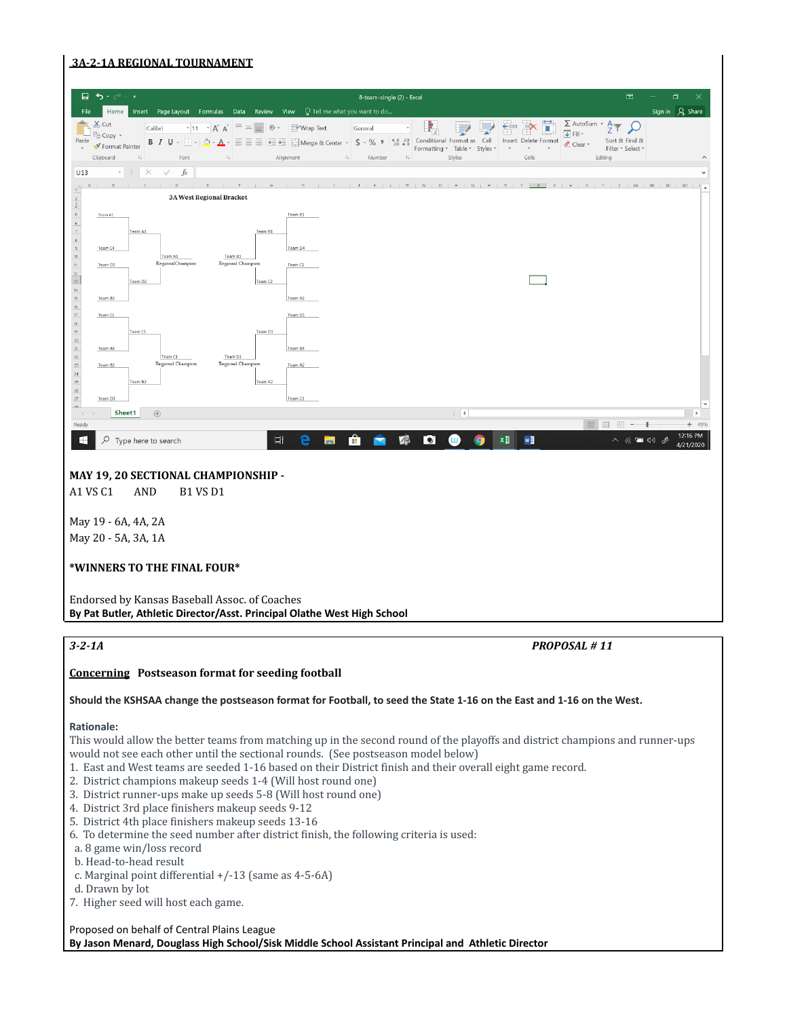# **3A-2-1A REGIONAL TOURNAMENT**



A1 VS C1 AND B1 VS D1

May 19 - 6A, 4A, 2A May 20 - 5A, 3A, 1A

#### **\*WINNERS TO THE FINAL FOUR\***

Endorsed by Kansas Baseball Assoc. of Coaches **By Pat Butler, Athletic Director/Asst. Principal Olathe West High School**

*3-2-1A PROPOSAL # 11*

# **Concerning Postseason format for seeding football**

#### **Should the KSHSAA change the postseason format for Football, to seed the State 1-16 on the East and 1-16 on the West.**

# **Rationale:**

This would allow the better teams from matching up in the second round of the playoffs and district champions and runner-ups would not see each other until the sectional rounds. (See postseason model below)

- 1. East and West teams are seeded 1-16 based on their District finish and their overall eight game record.
- 2. District champions makeup seeds 1-4 (Will host round one)
- 3. District runner-ups make up seeds 5-8 (Will host round one)
- 4. District 3rd place finishers makeup seeds 9-12
- 5. District 4th place finishers makeup seeds 13-16
- 6. To determine the seed number after district finish, the following criteria is used:
- a. 8 game win/loss record
- b. Head-to-head result
- c. Marginal point differential +/-13 (same as 4-5-6A)
- d. Drawn by lot
- 7. Higher seed will host each game.

# Proposed on behalf of Central Plains League **By Jason Menard, Douglass High School/Sisk Middle School Assistant Principal and Athletic Director**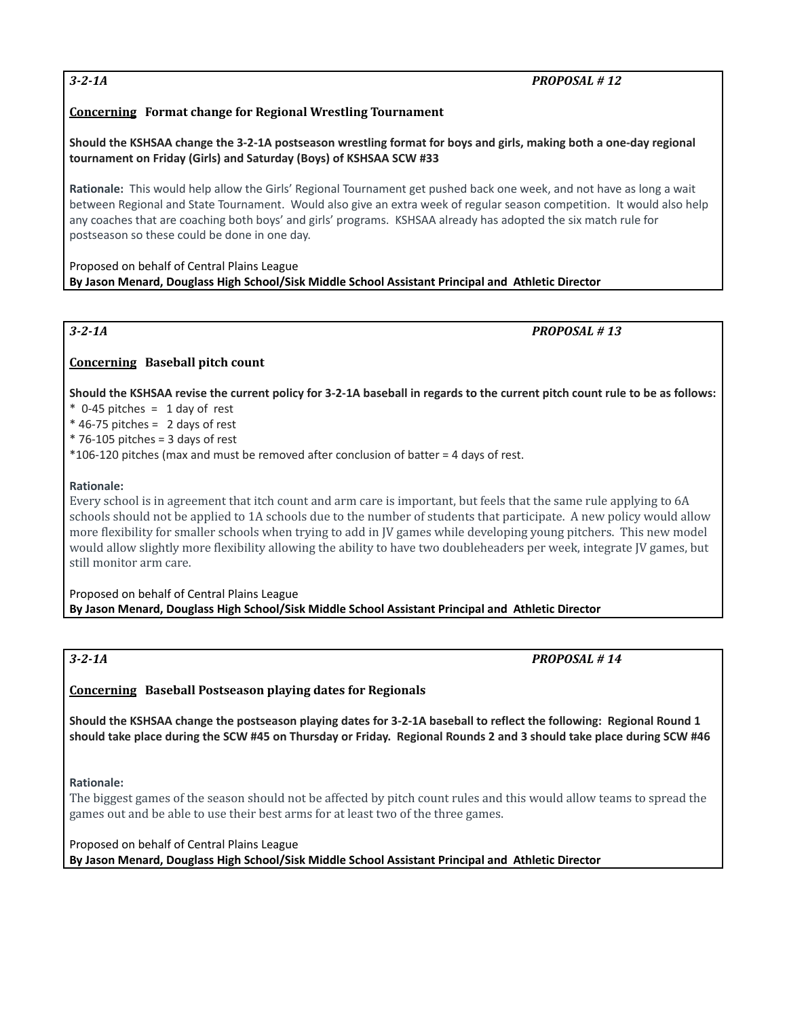# *3-2-1A PROPOSAL # 12*

# **Concerning Format change for Regional Wrestling Tournament**

Should the KSHSAA change the 3-2-1A postseason wrestling format for boys and girls, making both a one-day regional **tournament on Friday (Girls) and Saturday (Boys) of KSHSAA SCW #33**

**Rationale:** This would help allow the Girls' Regional Tournament get pushed back one week, and not have as long a wait between Regional and State Tournament. Would also give an extra week of regular season competition. It would also help any coaches that are coaching both boys' and girls' programs. KSHSAA already has adopted the six match rule for postseason so these could be done in one day.

Proposed on behalf of Central Plains League **By Jason Menard, Douglass High School/Sisk Middle School Assistant Principal and Athletic Director**

*3-2-1A PROPOSAL # 13*

# **Concerning Baseball pitch count**

Should the KSHSAA revise the current policy for 3-2-1A baseball in regards to the current pitch count rule to be as follows:

- $*$  0-45 pitches = 1 day of rest
- $*$  46-75 pitches = 2 days of rest
- $*$  76-105 pitches = 3 days of rest
- \*106-120 pitches (max and must be removed after conclusion of batter = 4 days of rest.

# **Rationale:**

Every school is in agreement that itch count and arm care is important, but feels that the same rule applying to 6A schools should not be applied to 1A schools due to the number of students that participate. A new policy would allow more flexibility for smaller schools when trying to add in JV games while developing young pitchers. This new model would allow slightly more flexibility allowing the ability to have two doubleheaders per week, integrate JV games, but still monitor arm care.

Proposed on behalf of Central Plains League **By Jason Menard, Douglass High School/Sisk Middle School Assistant Principal and Athletic Director**

*3-2-1A PROPOSAL # 14*

# **Concerning Baseball Postseason playing dates for Regionals**

Should the KSHSAA change the postseason playing dates for 3-2-1A baseball to reflect the following: Regional Round 1 should take place during the SCW #45 on Thursday or Friday. Regional Rounds 2 and 3 should take place during SCW #46

# **Rationale:**

The biggest games of the season should not be affected by pitch count rules and this would allow teams to spread the games out and be able to use their best arms for at least two of the three games.

Proposed on behalf of Central Plains League

**By Jason Menard, Douglass High School/Sisk Middle School Assistant Principal and Athletic Director**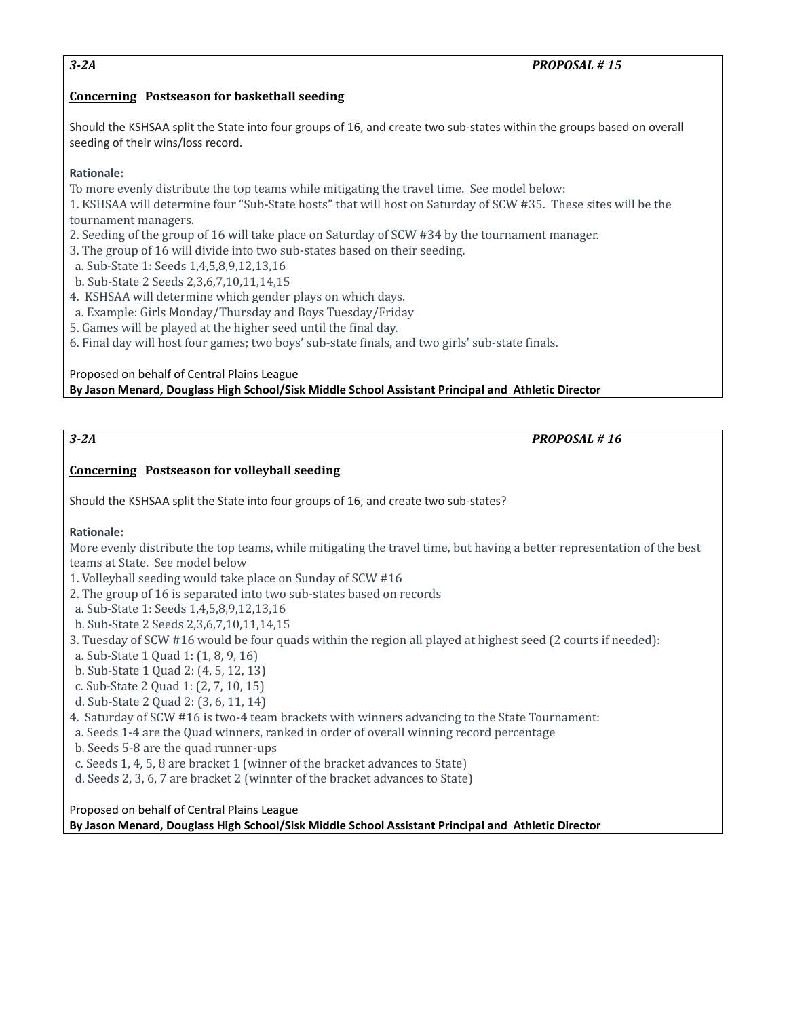# *3-2A PROPOSAL # 15*

# **Concerning Postseason for basketball seeding**

Should the KSHSAA split the State into four groups of 16, and create two sub-states within the groups based on overall seeding of their wins/loss record.

# **Rationale:**

To more evenly distribute the top teams while mitigating the travel time. See model below:

1. KSHSAA will determine four "Sub-State hosts" that will host on Saturday of SCW #35. These sites will be the tournament managers.

2. Seeding of the group of 16 will take place on Saturday of SCW #34 by the tournament manager.

3. The group of 16 will divide into two sub-states based on their seeding.

a. Sub-State 1: Seeds 1,4,5,8,9,12,13,16

b. Sub-State 2 Seeds 2,3,6,7,10,11,14,15

4. KSHSAA will determine which gender plays on which days.

a. Example: Girls Monday/Thursday and Boys Tuesday/Friday

5. Games will be played at the higher seed until the final day.

6. Final day will host four games; two boys' sub-state finals, and two girls' sub-state finals.

# Proposed on behalf of Central Plains League **By Jason Menard, Douglass High School/Sisk Middle School Assistant Principal and Athletic Director**

# *3-2A PROPOSAL # 16*

# **Concerning Postseason for volleyball seeding**

Should the KSHSAA split the State into four groups of 16, and create two sub-states?

# **Rationale:**

More evenly distribute the top teams, while mitigating the travel time, but having a better representation of the best teams at State. See model below

1. Volleyball seeding would take place on Sunday of SCW #16

2. The group of 16 is separated into two sub-states based on records

a. Sub-State 1: Seeds 1,4,5,8,9,12,13,16

b. Sub-State 2 Seeds 2,3,6,7,10,11,14,15

- 3. Tuesday of SCW #16 would be four quads within the region all played at highest seed (2 courts if needed):
- a. Sub-State 1 Quad 1: (1, 8, 9, 16)
- b. Sub-State 1 Quad 2: (4, 5, 12, 13)
- c. Sub-State 2 Quad 1: (2, 7, 10, 15)
- d. Sub-State 2 Quad 2: (3, 6, 11, 14)
- 4. Saturday of SCW #16 is two-4 team brackets with winners advancing to the State Tournament:
- a. Seeds 1-4 are the Quad winners, ranked in order of overall winning record percentage
- b. Seeds 5-8 are the quad runner-ups
- c. Seeds 1, 4, 5, 8 are bracket 1 (winner of the bracket advances to State)
- d. Seeds 2, 3, 6, 7 are bracket 2 (winnter of the bracket advances to State)

Proposed on behalf of Central Plains League **By Jason Menard, Douglass High School/Sisk Middle School Assistant Principal and Athletic Director**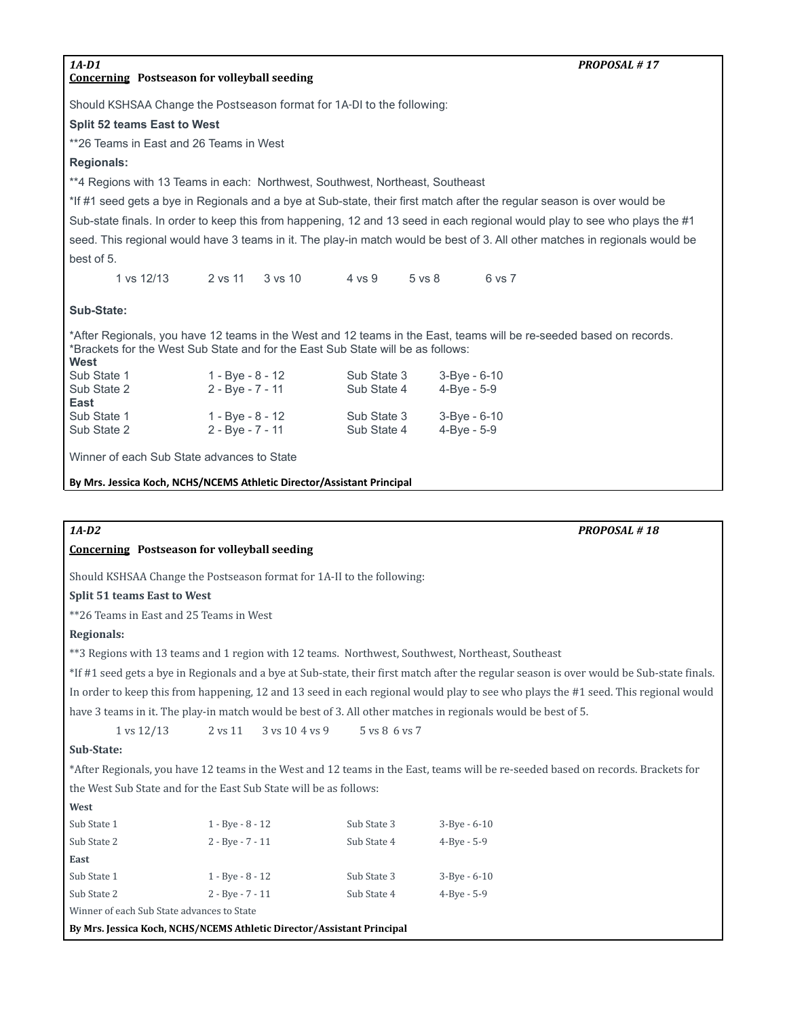#### **Concerning Postseason for volleyball seeding**

*1A-D1 PROPOSAL # 17*

Should KSHSAA Change the Postseason format for 1A-DI to the following:

**Split 52 teams East to West**

\*\*26 Teams in East and 26 Teams in West

# **Regionals:**

\*\*4 Regions with 13 Teams in each: Northwest, Southwest, Northeast, Southeast

\*If #1 seed gets a bye in Regionals and a bye at Sub-state, their first match after the regular season is over would be Sub-state finals. In order to keep this from happening, 12 and 13 seed in each regional would play to see who plays the #1 seed. This regional would have 3 teams in it. The play-in match would be best of 3. All other matches in regionals would be best of 5.

1 vs 12/13 2 vs 11 3 vs 10 4 vs 9 5 vs 8 6 vs 7

# **Sub-State:**

\*After Regionals, you have 12 teams in the West and 12 teams in the East, teams will be re-seeded based on records. \*Brackets for the West Sub State and for the East Sub State will be as follows: **West**

| Sub State 1 | 1 - Bye - 8 - 12 | Sub State 3 | 3-Bye - 6-10 |
|-------------|------------------|-------------|--------------|
| Sub State 2 | 2 - Bye - 7 - 11 | Sub State 4 | 4-Bye - 5-9  |
| East        |                  |             |              |
| Sub State 1 | 1 - Bye - 8 - 12 | Sub State 3 | 3-Bye - 6-10 |
| Sub State 2 | 2 - Bye - 7 - 11 | Sub State 4 | 4-Bye - 5-9  |
|             |                  |             |              |

Winner of each Sub State advances to State

**By Mrs. Jessica Koch, NCHS/NCEMS Athletic Director/Assistant Principal**

*1A-D2 PROPOSAL # 18*

# **Concerning Postseason for volleyball seeding**

Should KSHSAA Change the Postseason format for 1A-II to the following:

# **Split 51 teams East to West**

\*\*26 Teams in East and 25 Teams in West

# **Regionals:**

\*\*3 Regions with 13 teams and 1 region with 12 teams. Northwest, Southwest, Northeast, Southeast

\*If #1 seed gets a bye in Regionals and a bye at Sub-state, their first match after the regular season is over would be Sub-state finals. In order to keep this from happening, 12 and 13 seed in each regional would play to see who plays the #1 seed. This regional would have 3 teams in it. The play-in match would be best of 3. All other matches in regionals would be best of 5.

1 vs 12/13 2 vs 11 3 vs 10 4 vs 9 5 vs 8 6 vs 7

### **Sub-State:**

**West**

\*After Regionals, you have 12 teams in the West and 12 teams in the East, teams will be re-seeded based on records. Brackets for the West Sub State and for the East Sub State will be as follows:

| Sub State 1                                | $1 - Bve - 8 - 12$ | Sub State 3 | $3 - Bve - 6 - 10$ |  |  |  |  |  |  |
|--------------------------------------------|--------------------|-------------|--------------------|--|--|--|--|--|--|
| Sub State 2                                | $2 - Bve - 7 - 11$ | Sub State 4 | $4 - Bve - 5 - 9$  |  |  |  |  |  |  |
| East                                       |                    |             |                    |  |  |  |  |  |  |
| Sub State 1                                | $1 - Bve - 8 - 12$ | Sub State 3 | $3 - Bve - 6 - 10$ |  |  |  |  |  |  |
| Sub State 2                                | $2 - Bve - 7 - 11$ | Sub State 4 | $4 - Bve - 5 - 9$  |  |  |  |  |  |  |
| Winner of each Sub State advances to State |                    |             |                    |  |  |  |  |  |  |

**By Mrs. Jessica Koch, NCHS/NCEMS Athletic Director/Assistant Principal**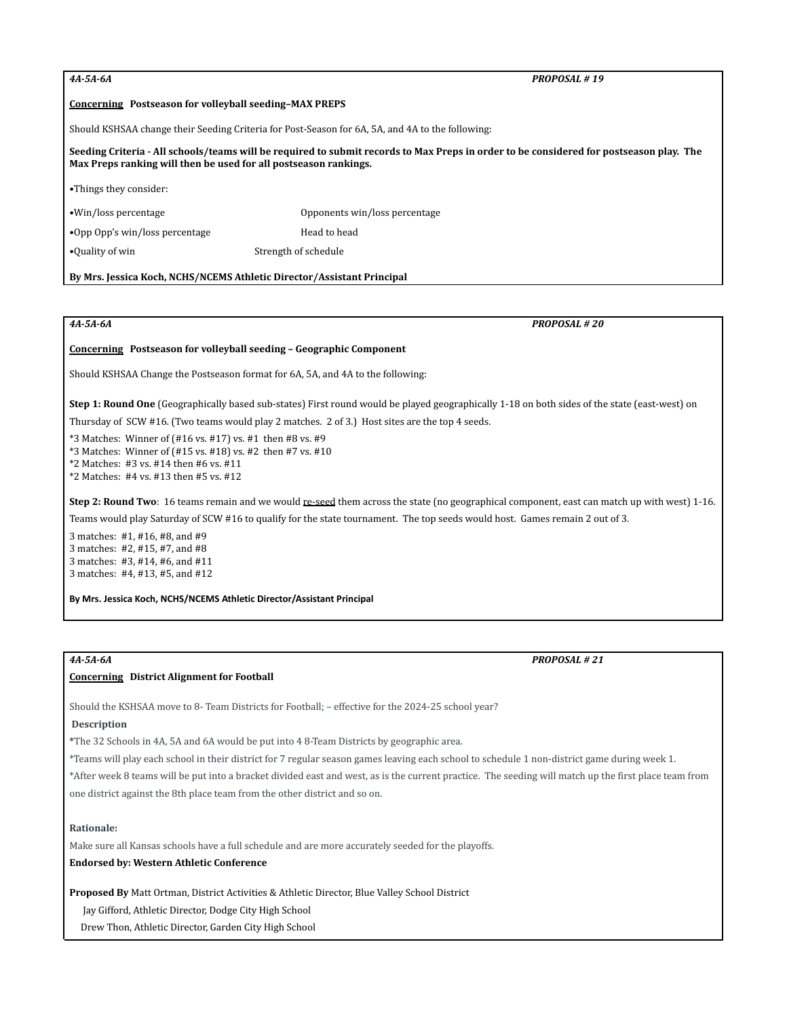*4A-5A-6A PROPOSAL # 19*

#### **Concerning Postseason for volleyball seeding–MAX PREPS**

Should KSHSAA change their Seeding Criteria for Post-Season for 6A, 5A, and 4A to the following:

#### Seeding Criteria - All schools/teams will be required to submit records to Max Preps in order to be considered for postseason play. The **Max Preps ranking will then be used for all postseason rankings.**

**•**Things they consider:

•Win/loss percentage Opponents win/loss percentage

•Opp Opp's win/loss percentage Head to head

•Quality of win Strength of schedule

#### **By Mrs. Jessica Koch, NCHS/NCEMS Athletic Director/Assistant Principal**

*4A-5A-6A PROPOSAL # 20*

#### **Concerning Postseason for volleyball seeding – Geographic Component**

Should KSHSAA Change the Postseason format for 6A, 5A, and 4A to the following:

**Step 1: Round One** (Geographically based sub-states) First round would be played geographically 1-18 on both sides of the state (east-west) on

Thursday of SCW #16. (Two teams would play 2 matches. 2 of 3.) Host sites are the top 4 seeds.

\*3 Matches: Winner of (#16 vs. #17) vs. #1 then #8 vs. #9

\*3 Matches: Winner of (#15 vs. #18) vs. #2 then #7 vs. #10

\*2 Matches: #3 vs. #14 then #6 vs. #11

\*2 Matches: #4 vs. #13 then #5 vs. #12

**Step 2: Round Two**: 16 teams remain and we would re-seed them across the state (no geographical component, east can match up with west) 1-16. Teams would play Saturday of SCW #16 to qualify for the state tournament. The top seeds would host. Games remain 2 out of 3.

 matches: #1, #16, #8, and #9 matches: #2, #15, #7, and #8 matches: #3, #14, #6, and #11 matches: #4, #13, #5, and #12

**By Mrs. Jessica Koch, NCHS/NCEMS Athletic Director/Assistant Principal**

#### **Concerning District Alignment for Football**

Should the KSHSAA move to 8- Team Districts for Football; – effective for the 2024-25 school year?

#### **Description**

**\***The 32 Schools in 4A, 5A and 6A would be put into 4 8-Team Districts by geographic area.

\*Teams will play each school in their district for 7 regular season games leaving each school to schedule 1 non-district game during week 1.

\*After week 8 teams will be put into a bracket divided east and west, as is the current practice. The seeding will match up the first place team from one district against the 8th place team from the other district and so on.

#### **Rationale:**

Make sure all Kansas schools have a full schedule and are more accurately seeded for the playoffs.

#### **Endorsed by: Western Athletic Conference**

**Proposed By** Matt Ortman, District Activities & Athletic Director, Blue Valley School District

Jay Gifford, Athletic Director, Dodge City High School

Drew Thon, Athletic Director, Garden City High School

*4A-5A-6A PROPOSAL # 21*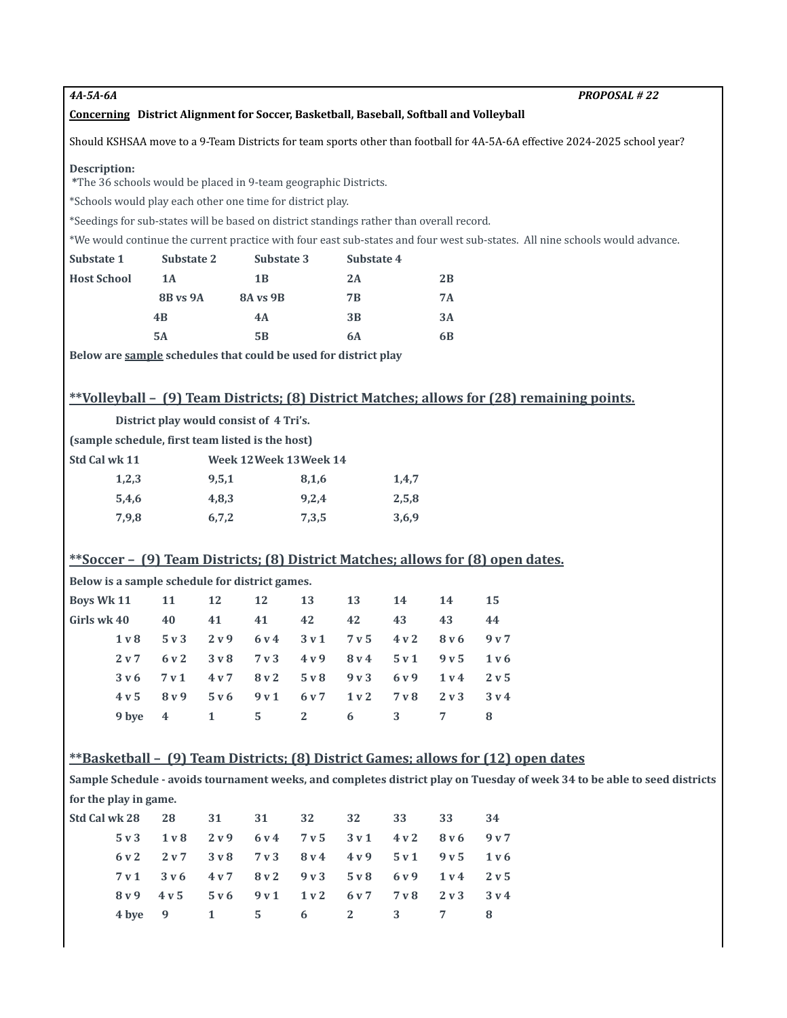*4A-5A-6A PROPOSAL # 22*

#### **Concerning District Alignment for Soccer, Basketball, Baseball, Softball and Volleyball**

Should KSHSAA move to a 9-Team Districts for team sports other than football for 4A-5A-6A effective 2024-2025 school year?

#### **Description:**

**\***The 36 schools would be placed in 9-team geographic Districts.

\*Schools would play each other one time for district play.

\*Seedings for sub-states will be based on district standings rather than overall record.

\*We would continue the current practice with four east sub-states and four west sub-states. All nine schools would advance.

| Substate 1         | Substate 2      | Substate 3     | Substate 4 |    |
|--------------------|-----------------|----------------|------------|----|
| <b>Host School</b> | 1A              | 1 <sub>B</sub> | 2A         | 2B |
|                    | <b>8B</b> vs 9A | 8A vs 9B       | 7B         | 7A |
|                    | 4B              | 4A             | 3B         | 3A |
|                    | 5A              | 5B             | 6A         | 6B |
|                    |                 |                |            |    |

**Below are sample schedules that could be used for district play**

# **\*\*Volleyball – (9) Team Districts; (8) District Matches; allows for (28) remaining points.**

|                   | District play would consist of 4 Tri's.          |       |                         |       |       |     |       |       |                                                                                 |  |  |
|-------------------|--------------------------------------------------|-------|-------------------------|-------|-------|-----|-------|-------|---------------------------------------------------------------------------------|--|--|
|                   | (sample schedule, first team listed is the host) |       |                         |       |       |     |       |       |                                                                                 |  |  |
| Std Cal wk 11     |                                                  |       | Week 12 Week 13 Week 14 |       |       |     |       |       |                                                                                 |  |  |
|                   | 1,2,3                                            |       | 9,5,1                   |       | 8,1,6 |     | 1,4,7 |       |                                                                                 |  |  |
|                   | 5,4,6                                            |       | 4,8,3                   |       | 9,2,4 |     | 2,5,8 |       |                                                                                 |  |  |
| 7,9,8             |                                                  |       | 6,7,2                   |       | 7,3,5 |     | 3,6,9 |       |                                                                                 |  |  |
|                   |                                                  |       |                         |       |       |     |       |       |                                                                                 |  |  |
|                   |                                                  |       |                         |       |       |     |       |       | **Soccer – (9) Team Districts; (8) District Matches; allows for (8) open dates. |  |  |
|                   | Below is a sample schedule for district games.   |       |                         |       |       |     |       |       |                                                                                 |  |  |
| <b>Boys Wk 11</b> |                                                  | 11    | 12                      | 12    | 13    | 13  | 14    | 14    | 15                                                                              |  |  |
| Girls wk 40       |                                                  | 40    | 41                      | 41    | 42    | 42  | 43    | 43    | 44                                                                              |  |  |
|                   | $1v$ 8                                           | 5v3   | 2 v 9                   | 6 v 4 | 3v1   | 7v5 | 4v2   | 8 v 6 | 9 <sub>v</sub> 7                                                                |  |  |
|                   | 2 <sub>v</sub> 7                                 | 6 v 2 | 3v8                     | 7v3   | 4v9   | 8v4 | 5v1   | 9v5   | 1 v 6                                                                           |  |  |

|  |  | 1v8 5v3 2v9 6v4 3v1 7v5 4v2 8v6 9v7                                                                         |  |  |
|--|--|-------------------------------------------------------------------------------------------------------------|--|--|
|  |  | 2v7 6v2 3v8 7v3 4v9 8v4 5v1 9v5 1v6                                                                         |  |  |
|  |  | $3\,\nu\,6$ $7\,\nu\,1$ $4\,\nu\,7$ $8\,\nu\,2$ $5\,\nu\,8$ $9\,\nu\,3$ $6\,\nu\,9$ $1\,\nu\,4$ $2\,\nu\,5$ |  |  |
|  |  | 4v5 8v9 5v6 9v1 6v7 1v2 7v8 2v3 3v4                                                                         |  |  |
|  |  | 9 bye 4 1 5 2 6 3 7 8                                                                                       |  |  |

# **\*\*Basketball – (9) Team Districts; (8) District Games; allows for (12) open dates**

Sample Schedule - avoids tournament weeks, and completes district play on Tuesday of week 34 to be able to seed districts **for the play in game.**

| 5v3 1v8 2v9 6v4 7v5 3v1 4v2 8v6 9v7 |  |  |  |  |
|-------------------------------------|--|--|--|--|
| 6y2 2y7 3y8 7y3 8y4 4y9 5y1 9y5 1y6 |  |  |  |  |
| 7y1 3y6 4y7 8y2 9y3 5y8 6y9 1y4 2y5 |  |  |  |  |
| 8v9 4v5 5v6 9v1 1v2 6v7 7v8 2v3 3v4 |  |  |  |  |
| 4 by e 9 1 5 6 2 3 7 8              |  |  |  |  |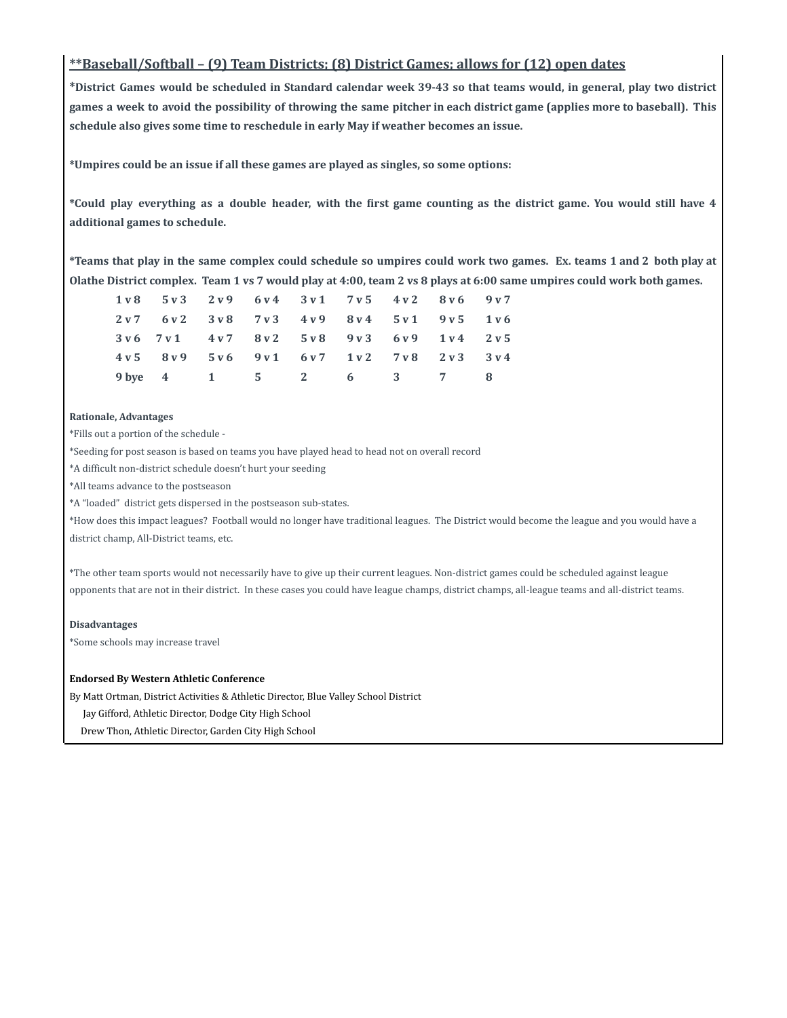# **\*\*Baseball/Softball – (9) Team Districts; (8) District Games; allows for (12) open dates**

\*District Games would be scheduled in Standard calendar week 39-43 so that teams would, in general, play two district games a week to avoid the possibility of throwing the same pitcher in each district game (applies more to baseball). This **schedule also gives some time to reschedule in early May if weather becomes an issue.**

**\*Umpires could be an issue if all these games are played as singles, so some options:**

\*Could play everything as a double header, with the first game counting as the district game. You would still have 4 **additional games to schedule.**

\*Teams that play in the same complex could schedule so umpires could work two games. Ex. teams 1 and 2 both play at **Olathe District complex. Team 1 vs 7 would play at 4:00, team 2 vs 8 plays at 6:00 same umpires could work both games.**

| 1v8 5v3 2v9 6v4 3v1 7v5 4v2 8v6 9v7 |  |  |  |  |
|-------------------------------------|--|--|--|--|
| 2v7 6v2 3v8 7v3 4v9 8v4 5v1 9v5 1v6 |  |  |  |  |
| 3v6 7v1 4v7 8v2 5v8 9v3 6v9 1v4 2v5 |  |  |  |  |
| 4v5 8v9 5v6 9v1 6v7 1v2 7v8 2v3 3v4 |  |  |  |  |
| 9 bye 4 1 5 2 6 3 7 8               |  |  |  |  |

#### **Rationale, Advantages**

\*Fills out a portion of the schedule -

\*Seeding for post season is based on teams you have played head to head not on overall record

\*A difficult non-district schedule doesn't hurt your seeding

\*All teams advance to the postseason

\*A "loaded" district gets dispersed in the postseason sub-states.

\*How does this impact leagues? Football would no longer have traditional leagues. The District would become the league and you would have a district champ, All-District teams, etc.

\*The other team sports would not necessarily have to give up their current leagues. Non-district games could be scheduled against league opponents that are not in their district. In these cases you could have league champs, district champs, all-league teams and all-district teams.

#### **Disadvantages**

\*Some schools may increase travel

#### **Endorsed By Western Athletic Conference**

By Matt Ortman, District Activities & Athletic Director, Blue Valley School District

Jay Gifford, Athletic Director, Dodge City High School

Drew Thon, Athletic Director, Garden City High School